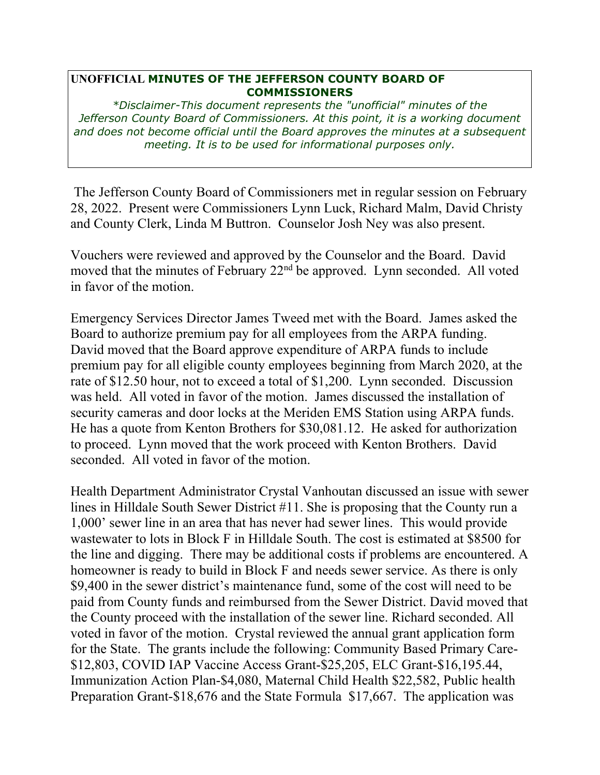## **UNOFFICIAL MINUTES OF THE JEFFERSON COUNTY BOARD OF COMMISSIONERS**

*\*Disclaimer-This document represents the "unofficial" minutes of the Jefferson County Board of Commissioners. At this point, it is a working document and does not become official until the Board approves the minutes at a subsequent meeting. It is to be used for informational purposes only.* 

 The Jefferson County Board of Commissioners met in regular session on February 28, 2022. Present were Commissioners Lynn Luck, Richard Malm, David Christy and County Clerk, Linda M Buttron. Counselor Josh Ney was also present.

Vouchers were reviewed and approved by the Counselor and the Board. David moved that the minutes of February 22<sup>nd</sup> be approved. Lynn seconded. All voted in favor of the motion.

Emergency Services Director James Tweed met with the Board. James asked the Board to authorize premium pay for all employees from the ARPA funding. David moved that the Board approve expenditure of ARPA funds to include premium pay for all eligible county employees beginning from March 2020, at the rate of \$12.50 hour, not to exceed a total of \$1,200. Lynn seconded. Discussion was held. All voted in favor of the motion. James discussed the installation of security cameras and door locks at the Meriden EMS Station using ARPA funds. He has a quote from Kenton Brothers for \$30,081.12. He asked for authorization to proceed. Lynn moved that the work proceed with Kenton Brothers. David seconded. All voted in favor of the motion.

Health Department Administrator Crystal Vanhoutan discussed an issue with sewer lines in Hilldale South Sewer District #11. She is proposing that the County run a 1,000' sewer line in an area that has never had sewer lines. This would provide wastewater to lots in Block F in Hilldale South. The cost is estimated at \$8500 for the line and digging. There may be additional costs if problems are encountered. A homeowner is ready to build in Block F and needs sewer service. As there is only \$9,400 in the sewer district's maintenance fund, some of the cost will need to be paid from County funds and reimbursed from the Sewer District. David moved that the County proceed with the installation of the sewer line. Richard seconded. All voted in favor of the motion. Crystal reviewed the annual grant application form for the State. The grants include the following: Community Based Primary Care- \$12,803, COVID IAP Vaccine Access Grant-\$25,205, ELC Grant-\$16,195.44, Immunization Action Plan-\$4,080, Maternal Child Health \$22,582, Public health Preparation Grant-\$18,676 and the State Formula \$17,667. The application was